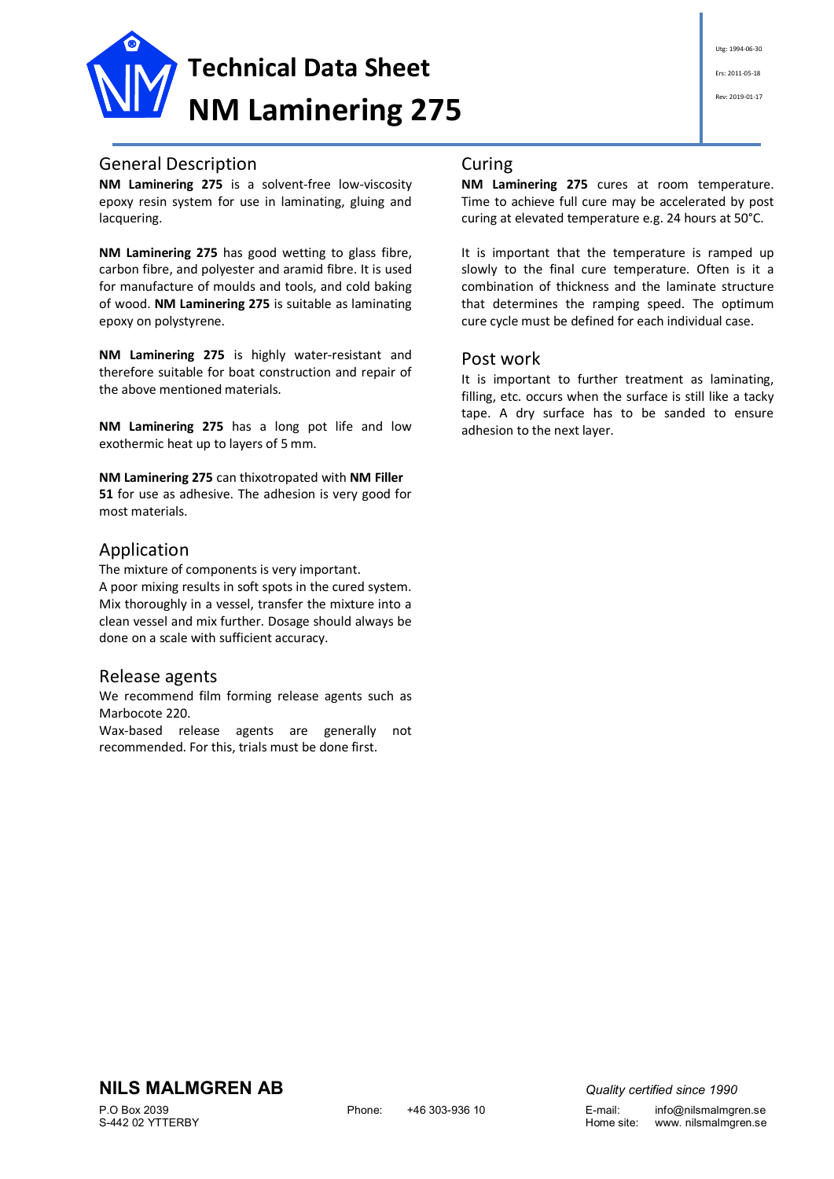

# General Description

**NM Laminering 275** is a solvent-free low-viscosity epoxy resin system for use in laminating, gluing and lacquering.

**NM Laminering 275** has good wetting to glass fibre, carbon fibre, and polyester and aramid fibre. It is used for manufacture of moulds and tools, and cold baking of wood. **NM Laminering 275** is suitable as laminating epoxy on polystyrene.

**NM Laminering 275** is highly water-resistant and therefore suitable for boat construction and repair of the above mentioned materials.

**NM Laminering 275** has a long pot life and low exothermic heat up to layers of 5 mm.

**NM Laminering 275** can thixotropated with **NM Filler 51** for use as adhesive. The adhesion is very good for most materials.

## Application

The mixture of components is very important. A poor mixing results in soft spots in the cured system. Mix thoroughly in a vessel, transfer the mixture into a clean vessel and mix further. Dosage should always be done on a scale with sufficient accuracy.

#### Release agents

We recommend film forming release agents such as Marbocote 220.

Wax-based release agents are generally not recommended. For this, trials must be done first.

#### Curing

**NM Laminering 275** cures at room temperature. Time to achieve full cure may be accelerated by post curing at elevated temperature e.g. 24 hours at 50°C.

It is important that the temperature is ramped up slowly to the final cure temperature. Often is it a combination of thickness and the laminate structure that determines the ramping speed. The optimum cure cycle must be defined for each individual case.

## Post work

It is important to further treatment as laminating, filling, etc. occurs when the surface is still like a tacky tape. A dry surface has to be sanded to ensure adhesion to the next layer.

# **NILS MALMGREN AB** *Quality certified since 1990*